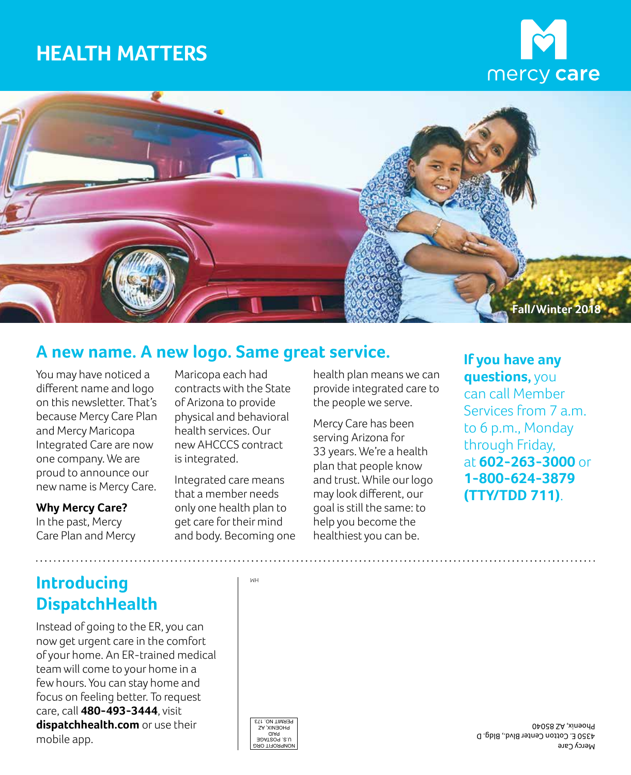# **HEALTH MATTERS**





### **A new name. A new logo. Same great service.**

You may have noticed a different name and logo on this newsletter. That's because Mercy Care Plan and Mercy Maricopa Integrated Care are now one company. We are proud to announce our new name is Mercy Care.

#### **Why Mercy Care?**

In the past, Mercy Care Plan and Mercy

Maricopa each had contracts with the State of Arizona to provide physical and behavioral health services. Our new AHCCCS contract is integrated.

Integrated care means that a member needs only one health plan to get care for their mind and body. Becoming one health plan means we can provide integrated care to the people we serve.

Mercy Care has been serving Arizona for 33 years. We're a health plan that people know and trust. While our logo may look different, our goal is still the same: to help you become the healthiest you can be.

**If you have any questions,** you

can call Member Services from 7 a.m. to 6 p.m., Monday through Friday, at **602-263-3000** or **1-800-624-3879 (TTY/TDD 711)**.

**Introducing DispatchHealth** 

 of your home. An ER-trained medical Instead of going to the ER, you can now get urgent care in the comfort team will come to your home in a few hours. You can stay home and focus on feeling better. To request care, call **480-493-3444**, visit **dispatchhealth.com** or use their Mercy Cotton Gables Day (July 1994) and Day State of The Cotton Care (July 1994) and Day State (July 1994) and D<br>Mercy Care (July 1994) and Day State (July 1994) and Day State (July 1994) and Day State (July 1994) and Day

HM



4350 E. Cotton Center Blvd., Bldg. D Phoenix, AZ 85040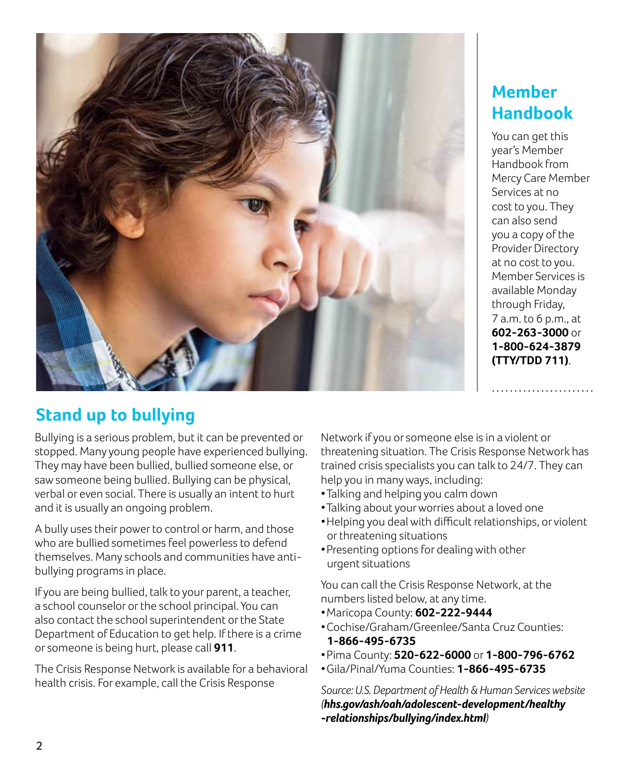

### **Member Handbook**

You can get this year's Member Handbook from Mercy Care Member Services at no cost to you. They can also send you a copy of the Provider Directory at no cost to you. Member Services is available Monday through Friday, 7 a.m. to 6 p.m., at **602-263-3000** or **1-800-624-3879 (TTY/TDD 711)**.

## **Stand up to bullying**

 They may have been bullied, bullied someone else, or Bullying is a serious problem, but it can be prevented or stopped. Many young people have experienced bullying. saw someone being bullied. Bullying can be physical, verbal or even social. There is usually an intent to hurt and it is usually an ongoing problem.

 A bully uses their power to control or harm, and those who are bullied sometimes feel powerless to defend themselves. Many schools and communities have antibullying programs in place.

 a school counselor or the school principal. You can If you are being bullied, talk to your parent, a teacher, also contact the school superintendent or the State Department of Education to get help. If there is a crime or someone is being hurt, please call **911**.

The Crisis Response Network is available for a behavioral health crisis. For example, call the Crisis Response

Network if you or someone else is in a violent or threatening situation. The Crisis Response Network has trained crisis specialists you can talk to 24/7. They can help you in many ways, including:

- j •Talking and helping you calm down
- j •Talking about your worries about a loved one
- $\begin{array}{c} \end{array}$ •Helping you deal with difficult relationships, or violent or threatening situations
- $\begin{array}{c} \end{array}$ •Presenting options for dealing with other urgent situations

You can call the Crisis Response Network, at the numbers listed below, at any time.

- $\overline{\phantom{a}}$ •Maricopa County: **602-222-9444**
- $\overline{a}$ •Cochise/Graham/Greenlee/Santa Cruz Counties: **1-866-495-6735**
- $\begin{array}{c} \end{array}$ •Pima County: **520-622-6000** or **1-800-796-6762**
- $\overline{a}$ •Gila/Pinal/Yuma Counties: **1-866-495-6735**

*Source: U.S. Department of Health & Human Services website ([hhs.gov/ash/oah/adolescent-development/healthy](www.hhs.gov/ash/oah/adolescent-development/healthy-relationships/bullying/index.html)  -relationships/bullying/index.html)*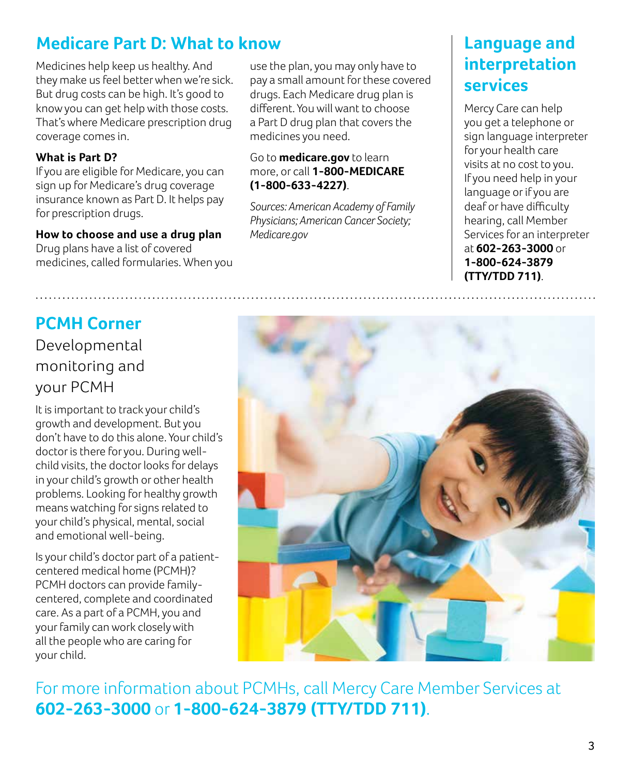## **Medicare Part D: What to know**

Medicines help keep us healthy. And they make us feel better when we're sick. But drug costs can be high. It's good to know you can get help with those costs. That's where Medicare prescription drug coverage comes in.

#### **What is Part D?**

If you are eligible for Medicare, you can sign up for Medicare's drug coverage insurance known as Part D. It helps pay for prescription drugs.

#### **How to choose and use a drug plan**

Drug plans have a list of covered medicines, called formularies. When you use the plan, you may only have to pay a small amount for these covered drugs. Each Medicare drug plan is different. You will want to choose a Part D drug plan that covers the medicines you need.

#### Go to **medicare.gov** to learn more, or call **1-800-MEDICARE (1-800-633-4227)**.

*Sources: American Academy of Family Physicians; American Cancer Society; Medicare.gov* 

### **Language and interpretation services**

 language or if you are  $\ddot{\phantom{0}}$  **1-800-624-3879 (TTY/TDD 711)**. Mercy Care can help you get a telephone or sign language interpreter for your health care visits at no cost to you. If you need help in your deaf or have difficulty hearing, call Member Services for an interpreter at **602-263-3000** or

## **PCMH Corner**

Developmental monitoring and your PCMH

 $\overline{a}$  doctor is there for you. During well-It is important to track your child's growth and development. But you don't have to do this alone. Your child's child visits, the doctor looks for delays in your child's growth or other health problems. Looking for healthy growth means watching for signs related to your child's physical, mental, social and emotional well-being.

 $\ddot{\phantom{0}}$  your family can work closely with Is your child's doctor part of a patientcentered medical home (PCMH)? PCMH doctors can provide familycentered, complete and coordinated care. As a part of a PCMH, you and all the people who are caring for your child.



For more information about PCMHs, call Mercy Care Member Services at **602-263-3000** or **1-800-624-3879 (TTY/TDD 711)**.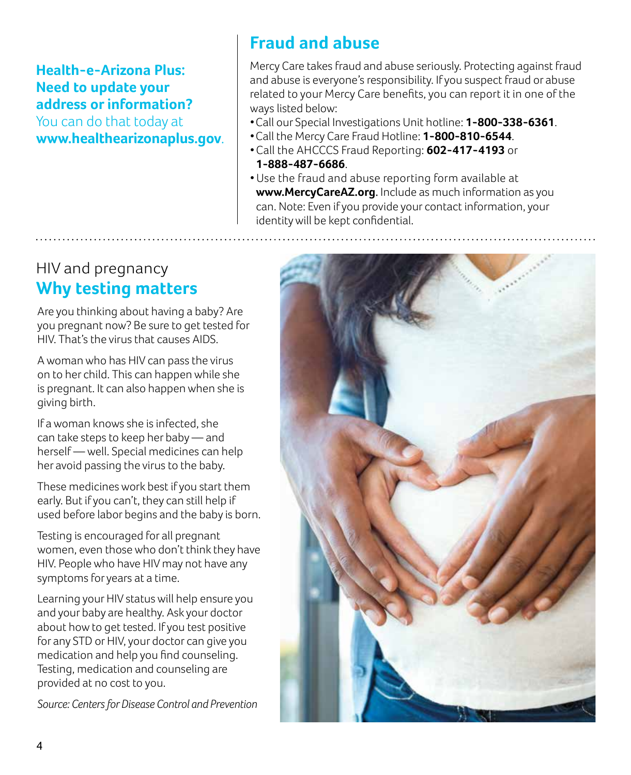### **Health-e-Arizona Plus: Need to update your address or information?**

You can do that today at **www.healthearizonaplus.gov**.

## **Fraud and abuse**

Mercy Care takes fraud and abuse seriously. Protecting against fraud and abuse is everyone's responsibility. If you suspect fraud or abuse related to your Mercy Care benefits, you can report it in one of the ways listed below:

- $\overline{a}$ •Call our Special Investigations Unit hotline: **1-800-338-6361**.
- $\overline{a}$ •Call the Mercy Care Fraud Hotline: **1-800-810-6544**.
- • Call the AHCCCS Fraud Reporting: **602-417-4193** or **1-888-487-6686**.
- • Use the fraud and abuse reporting form available at **www.MercyCareAZ.org**. Include as much information as you can. Note: Even if you provide your contact information, your identity will be kept confidential.

### HIV and pregnancy **Why testing matters**

Are you thinking about having a baby? Are you pregnant now? Be sure to get tested for HIV. That's the virus that causes AIDS.

A woman who has HIV can pass the virus on to her child. This can happen while she is pregnant. It can also happen when she is giving birth.

If a woman knows she is infected, she can take steps to keep her baby — and herself — well. Special medicines can help her avoid passing the virus to the baby.

These medicines work best if you start them early. But if you can't, they can still help if used before labor begins and the baby is born.

Testing is encouraged for all pregnant women, even those who don't think they have HIV. People who have HIV may not have any symptoms for years at a time.

 Learning your HIV status will help ensure you and your baby are healthy. Ask your doctor about how to get tested. If you test positive for any STD or HIV, your doctor can give you medication and help you find counseling. Testing, medication and counseling are provided at no cost to you.

*Source: Centers for Disease Control and Prevention* 

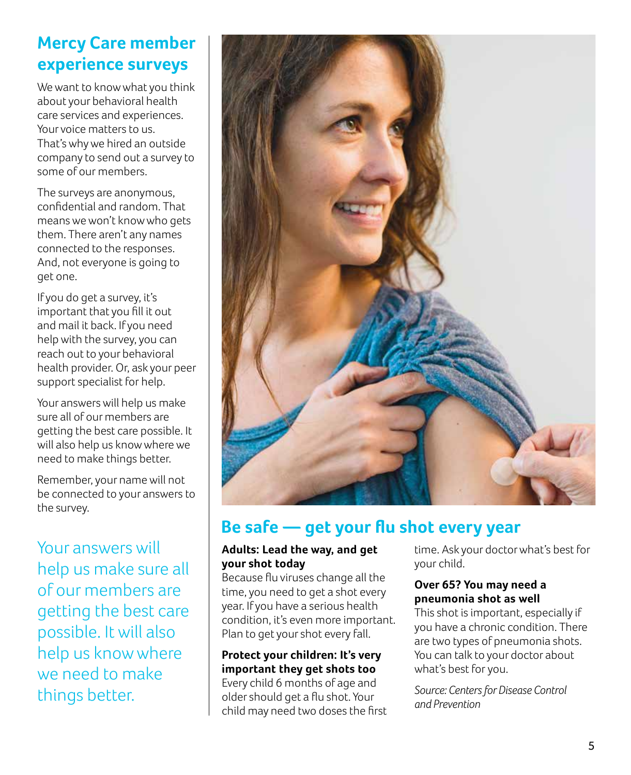## **Mercy Care member experience surveys**

We want to know what you think about your behavioral health care services and experiences. Your voice matters to us. That's why we hired an outside company to send out a survey to some of our members.

The surveys are anonymous, confidential and random. That means we won't know who gets them. There aren't any names connected to the responses. And, not everyone is going to get one.

J If you do get a survey, it's important that you fill it out and mail it back. If you need help with the survey, you can reach out to your behavioral health provider. Or, ask your peer support specialist for help.

Your answers will help us make sure all of our members are getting the best care possible. It will also help us know where we need to make things better.

Remember, your name will not be connected to your answers to the survey.

Your answers will help us make sure all of our members are getting the best care possible. It will also help us know where we need to make things better.



### **Be safe — get your flu shot every year**

#### **Adults: Lead the way, and get your shot today**

Because flu viruses change all the time, you need to get a shot every year. If you have a serious health condition, it's even more important. Plan to get your shot every fall.

### **Protect your children: It's very important they get shots too**

Every child 6 months of age and older should get a flu shot. Your child may need two doses the first time. Ask your doctor what's best for your child.

#### **Over 65? You may need a pneumonia shot as well**

This shot is important, especially if you have a chronic condition. There are two types of pneumonia shots. You can talk to your doctor about what's best for you.

*Source: Centers for Disease Control and Prevention*